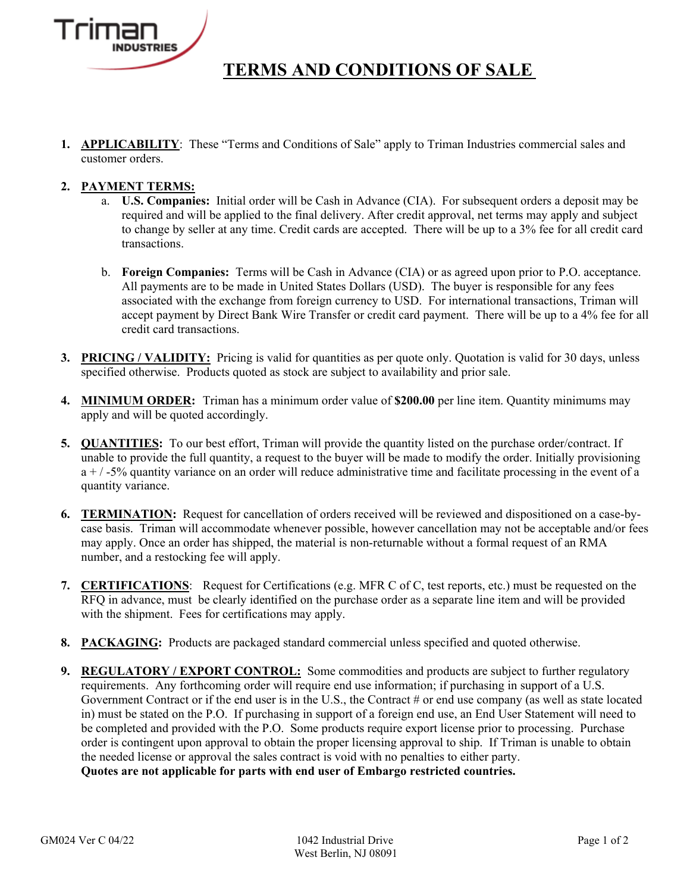

## **TERMS AND CONDITIONS OF SALE**

**1. APPLICABILITY**: These "Terms and Conditions of Sale" apply to Triman Industries commercial sales and customer orders.

### **2. PAYMENT TERMS:**

- a. **U.S. Companies:** Initial order will be Cash in Advance (CIA). For subsequent orders a deposit may be required and will be applied to the final delivery. After credit approval, net terms may apply and subject to change by seller at any time. Credit cards are accepted. There will be up to a 3% fee for all credit card transactions.
- b. **Foreign Companies:** Terms will be Cash in Advance (CIA) or as agreed upon prior to P.O. acceptance. All payments are to be made in United States Dollars (USD). The buyer is responsible for any fees associated with the exchange from foreign currency to USD. For international transactions, Triman will accept payment by Direct Bank Wire Transfer or credit card payment. There will be up to a 4% fee for all credit card transactions.
- **3. PRICING / VALIDITY:** Pricing is valid for quantities as per quote only. Quotation is valid for 30 days, unless specified otherwise. Products quoted as stock are subject to availability and prior sale.
- **4. MINIMUM ORDER:** Triman has a minimum order value of **\$200.00** per line item. Quantity minimums may apply and will be quoted accordingly.
- **5. QUANTITIES:** To our best effort, Triman will provide the quantity listed on the purchase order/contract. If unable to provide the full quantity, a request to the buyer will be made to modify the order. Initially provisioning  $a + / -5\%$  quantity variance on an order will reduce administrative time and facilitate processing in the event of a quantity variance.
- **6. TERMINATION:** Request for cancellation of orders received will be reviewed and dispositioned on a case-bycase basis. Triman will accommodate whenever possible, however cancellation may not be acceptable and/or fees may apply. Once an order has shipped, the material is non-returnable without a formal request of an RMA number, and a restocking fee will apply.
- **7. CERTIFICATIONS**: Request for Certifications (e.g. MFR C of C, test reports, etc.) must be requested on the RFQ in advance, must be clearly identified on the purchase order as a separate line item and will be provided with the shipment. Fees for certifications may apply.
- **8. PACKAGING:** Products are packaged standard commercial unless specified and quoted otherwise.
- **9. REGULATORY / EXPORT CONTROL:** Some commodities and products are subject to further regulatory requirements. Any forthcoming order will require end use information; if purchasing in support of a U.S. Government Contract or if the end user is in the U.S., the Contract # or end use company (as well as state located in) must be stated on the P.O. If purchasing in support of a foreign end use, an End User Statement will need to be completed and provided with the P.O. Some products require export license prior to processing. Purchase order is contingent upon approval to obtain the proper licensing approval to ship. If Triman is unable to obtain the needed license or approval the sales contract is void with no penalties to either party. **Quotes are not applicable for parts with end user of Embargo restricted countries.**